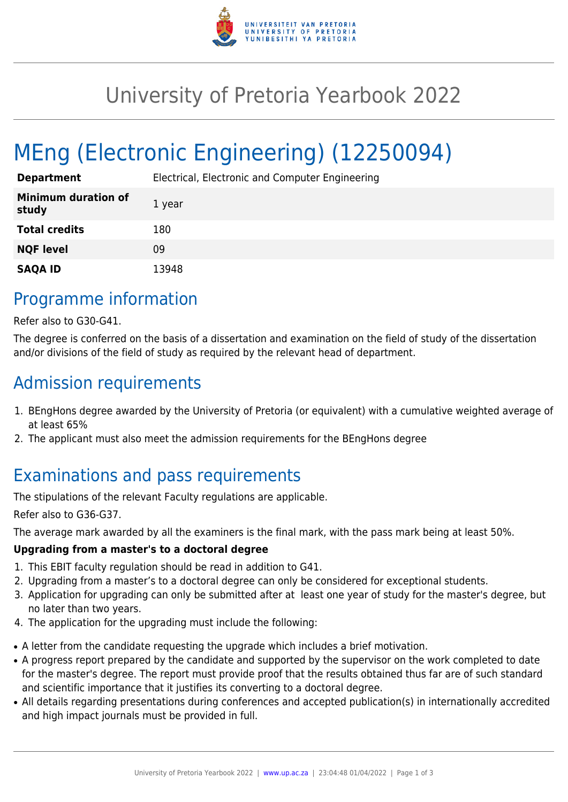

## University of Pretoria Yearbook 2022

# MEng (Electronic Engineering) (12250094)

| <b>Department</b>                   | Electrical, Electronic and Computer Engineering |
|-------------------------------------|-------------------------------------------------|
| <b>Minimum duration of</b><br>study | 1 year                                          |
| <b>Total credits</b>                | 180                                             |
| <b>NQF level</b>                    | 09                                              |
| <b>SAQA ID</b>                      | 13948                                           |

### Programme information

Refer also to G30-G41.

The degree is conferred on the basis of a dissertation and examination on the field of study of the dissertation and/or divisions of the field of study as required by the relevant head of department.

#### Admission requirements

- 1. BEngHons degree awarded by the University of Pretoria (or equivalent) with a cumulative weighted average of at least 65%
- 2. The applicant must also meet the admission requirements for the BEngHons degree

### Examinations and pass requirements

The stipulations of the relevant Faculty regulations are applicable.

Refer also to G36-G37.

The average mark awarded by all the examiners is the final mark, with the pass mark being at least 50%.

#### **Upgrading from a master's to a doctoral degree**

- 1. This EBIT faculty regulation should be read in addition to G41.
- 2. Upgrading from a master's to a doctoral degree can only be considered for exceptional students.
- 3. Application for upgrading can only be submitted after at least one year of study for the master's degree, but no later than two years.
- 4. The application for the upgrading must include the following:
- A letter from the candidate requesting the upgrade which includes a brief motivation.
- A progress report prepared by the candidate and supported by the supervisor on the work completed to date for the master's degree. The report must provide proof that the results obtained thus far are of such standard and scientific importance that it justifies its converting to a doctoral degree.
- All details regarding presentations during conferences and accepted publication(s) in internationally accredited and high impact journals must be provided in full.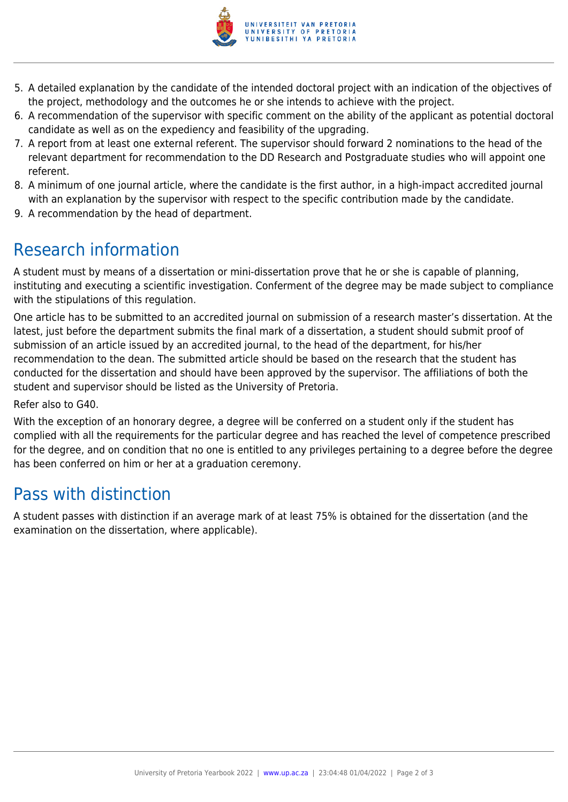

- 5. A detailed explanation by the candidate of the intended doctoral project with an indication of the objectives of the project, methodology and the outcomes he or she intends to achieve with the project.
- 6. A recommendation of the supervisor with specific comment on the ability of the applicant as potential doctoral candidate as well as on the expediency and feasibility of the upgrading.
- 7. A report from at least one external referent. The supervisor should forward 2 nominations to the head of the relevant department for recommendation to the DD Research and Postgraduate studies who will appoint one referent.
- 8. A minimum of one journal article, where the candidate is the first author, in a high-impact accredited journal with an explanation by the supervisor with respect to the specific contribution made by the candidate.
- 9. A recommendation by the head of department.

## Research information

A student must by means of a dissertation or mini-dissertation prove that he or she is capable of planning, instituting and executing a scientific investigation. Conferment of the degree may be made subject to compliance with the stipulations of this regulation.

One article has to be submitted to an accredited journal on submission of a research master's dissertation. At the latest, just before the department submits the final mark of a dissertation, a student should submit proof of submission of an article issued by an accredited journal, to the head of the department, for his/her recommendation to the dean. The submitted article should be based on the research that the student has conducted for the dissertation and should have been approved by the supervisor. The affiliations of both the student and supervisor should be listed as the University of Pretoria.

Refer also to G40.

With the exception of an honorary degree, a degree will be conferred on a student only if the student has complied with all the requirements for the particular degree and has reached the level of competence prescribed for the degree, and on condition that no one is entitled to any privileges pertaining to a degree before the degree has been conferred on him or her at a graduation ceremony.

### Pass with distinction

A student passes with distinction if an average mark of at least 75% is obtained for the dissertation (and the examination on the dissertation, where applicable).